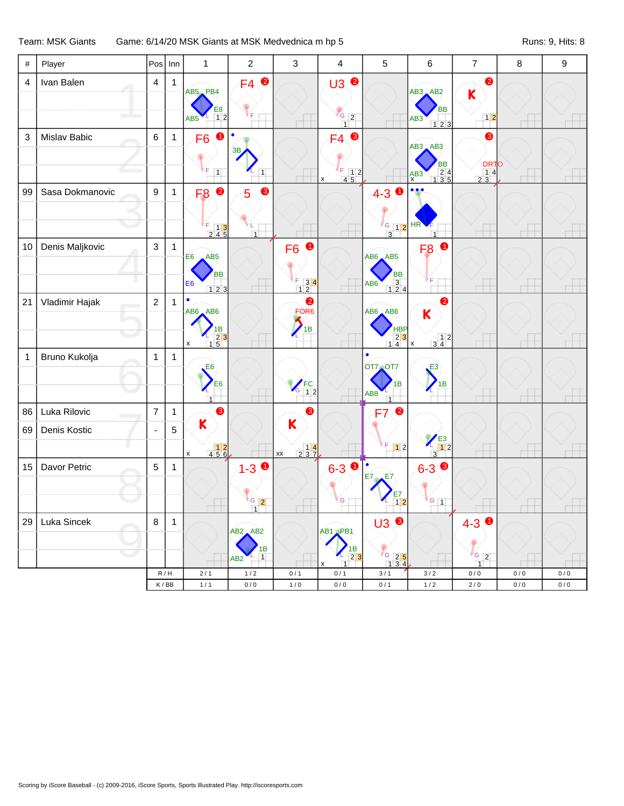Team: MSK Giants Game: 6/14/20 MSK Giants at MSK Medvednica m hp 5 Runs: 9, Hits: 8

| $\#$           | Player          |                | $Pos$ Inn    | $\mathbf{1}$                                                                               | $\overline{2}$                                           | 3                                                                               | $\overline{\mathbf{4}}$                                                    | 5                                                                | 6                                                                                       | $\overline{7}$                                                        | 8         | 9         |
|----------------|-----------------|----------------|--------------|--------------------------------------------------------------------------------------------|----------------------------------------------------------|---------------------------------------------------------------------------------|----------------------------------------------------------------------------|------------------------------------------------------------------|-----------------------------------------------------------------------------------------|-----------------------------------------------------------------------|-----------|-----------|
| $\overline{4}$ | Ivan Balen      | $\overline{4}$ | $\mathbf{1}$ | AB5 PB4<br>E8<br>12<br>AB5                                                                 | $\bullet$<br>F4<br>Έ                                     |                                                                                 | $\bullet$<br>$\overline{\mathsf{U3}}$<br>$\frac{G}{1}$ 2                   |                                                                  | $AB3$ $AB2$<br><b>BB</b><br>AB <sub>3</sub><br>123                                      | 2<br>K<br>$1 2$                                                       |           |           |
| $\sqrt{3}$     | Mislav Babic    | $\,6\,$        | $\mathbf{1}$ | F <sub>6</sub><br>$\boxed{1}$                                                              | 38<br>1                                                  |                                                                                 | €<br>F4<br>$\frac{F}{4}$ $\frac{1}{5}$ $\frac{2}{5}$<br>$\pmb{\mathsf{x}}$ |                                                                  | $AB3$ $AB3$<br>BB<br>$\begin{array}{r} 24 \\ 135 \end{array}$<br>A B3                   | ❸<br><b>DRTO</b><br>$\begin{array}{c c}\n1 & 4 \\ 2 & 3\n\end{array}$ |           |           |
| 99             | Sasa Dokmanovic | 9              | $\mathbf{1}$ | $\bullet$<br>F <sub>8</sub><br>F<br>$\begin{array}{cc} 5 & 1 & 3 \\ 2 & 4 & 5 \end{array}$ | ❸<br>5<br>$\overline{1}$                                 |                                                                                 |                                                                            | $\bullet$<br>$4 - 3$<br>$\frac{G}{3}$ 1 2                        | • • •<br>HR<br>$\overline{1}$                                                           |                                                                       |           |           |
| 10             | Denis Maljkovic | 3              | $\mathbf{1}$ | E <sub>6</sub><br>AB5<br>ВB<br>E <sub>6</sub><br>123                                       |                                                          | 0<br>F <sub>6</sub><br>$\begin{array}{ c c } \hline 3 & 4 \\ 1 & 2 \end{array}$ |                                                                            | AB6 AB5<br>BB<br>3<br>124<br>AB <sub>6</sub>                     | F <sub>8</sub> O                                                                        |                                                                       |           |           |
| 21             | Vladimir Hajak  | $\overline{2}$ | $\mathbf{1}$ | $\bullet$<br><b>AB6 AB6</b><br>$\begin{array}{c}\n 1B \\  23 \\  15\n\end{array}$<br>X     |                                                          | $\bullet$<br>FOR <sub>6</sub><br>1B                                             |                                                                            | AB6 AB6<br><b>HBP</b><br>$\begin{array}{c} 23 \\ 14 \end{array}$ | 0<br>$\overline{\mathsf{K}}$<br>$\begin{array}{c} 12 \\ 34 \end{array}$<br>$\mathbf{x}$ |                                                                       |           |           |
| $\mathbf{1}$   | Bruno Kukolja   | $\mathbf{1}$   | $\mathbf{1}$ | E <sub>6</sub><br>E <sub>6</sub><br>$\overline{1}$                                         |                                                          | $r$ FC<br>12<br>G                                                               |                                                                            | $\bullet$<br>OT7 OT7<br>1B<br>AB <sub>8</sub><br>$\overline{1}$  | E3<br>$\sum_{1B}$                                                                       |                                                                       |           |           |
| 86             | Luka Rilovic    | $\overline{7}$ | $\mathbf{1}$ | ❸                                                                                          |                                                          | ❸                                                                               |                                                                            | $\bullet$<br>F7                                                  |                                                                                         |                                                                       |           |           |
| 69             | Denis Kostic    | ÷,             | 5            | $\mathsf K$<br>$\begin{array}{r} 12 \\ 456 \end{array}$<br>$\mathsf{x}$                    |                                                          | K<br>$\begin{array}{c c} & 14 \\ 2 & 37 \end{array}$<br>$\mathsf{xx}$           |                                                                            | F.<br>$\boxed{1}$                                                | $\frac{1}{12}$<br>$\overline{3}$                                                        |                                                                       |           |           |
| 15             | Davor Petric    | 5              | $\mathbf 1$  |                                                                                            | $1 - 3$<br>$\frac{G}{1}$                                 |                                                                                 | $6 - 3$<br>G                                                               | E7<br>E7<br>E7<br>$1\overline{2}$                                | $6 - 3$<br>$\sqrt{G}$ 1                                                                 |                                                                       |           |           |
| 29             | Luka Sincek     | 8              | $\mathbf{1}$ |                                                                                            | $AB2$ , $AB2$<br>1B<br>$\overline{1}$<br>AB <sub>2</sub> |                                                                                 | AB1 PB1<br>$\frac{1}{2}$<br>$\overline{1}$                                 | ❸<br>U3<br>$\frac{6}{1}$ $\frac{2}{3}$ $\frac{5}{4}$             |                                                                                         | $4 - 3$<br>0<br>$G$ 2<br>$\overline{1}$                               |           |           |
|                |                 |                | R/H          | 2/1                                                                                        | 1/2                                                      | 0/1                                                                             | 0/1                                                                        | 3/1                                                              | 3/2                                                                                     | 0/0                                                                   | 0/0       | 0/0       |
|                |                 |                | K/BB         | 1/1                                                                                        | 0/0                                                      | $1/0$                                                                           | $0/0$                                                                      | 0/1                                                              | $1/2$                                                                                   | $2/0$                                                                 | $0\,/\,0$ | $0\,/\,0$ |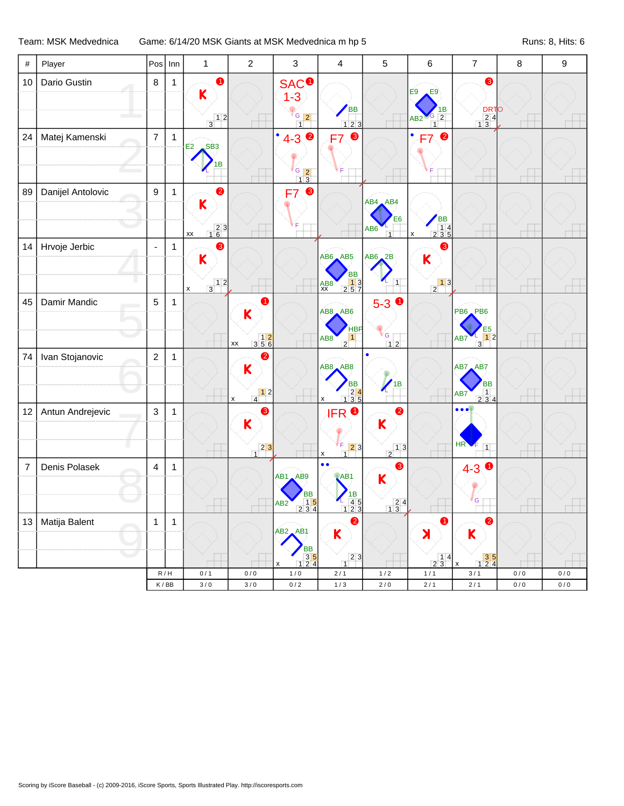## Team: MSK Medvednica Game: 6/14/20 MSK Giants at MSK Medvednica m hp 5 Runs: 8, Hits: 6

| $\bullet$<br><b>SAC<sup>O</sup></b><br>❸<br>Dario Gustin<br>$\,8\,$<br>10<br>1<br>E9<br>E9<br>$\mathsf K$<br>$1-3$<br><b>BB</b><br><b>DRTO</b><br>1B<br>$G$ 2<br>$G_{2}$<br>$\begin{array}{r} 24 \\ 13 \end{array}$<br>$\frac{1}{3}$<br>AB2<br>$\overline{1}$<br>123<br>$\overline{1}$<br>$\bullet$<br>Matej Kamenski<br>$\overline{7}$<br>❸<br>٠<br>$\bullet$<br>24<br>$\mathbf{1}$<br>$4 - 3$<br>F7<br>F7<br>$\overline{\text{SB3}}$<br>E2<br>1B<br>$rac{G}{1}$ $rac{2}{3}$<br>9<br>$\bullet$<br>❸<br>Danijel Antolovic<br>$\mathbf 1$<br>89<br>F7<br>AB4 AB4<br>$\mathsf K$<br>BB<br>14<br>235<br>E <sub>6</sub><br>$\begin{array}{c c} 2 & 3 \\ 1 & 6 \end{array}$<br>AB6<br>XX<br>$\overline{1}$<br>$\pmb{\mathsf{x}}$<br>❸<br>Hrvoje Jerbic<br>❸<br>14<br>1<br>$\blacksquare$<br>$AB6$ $AB5$<br>$AB6$ <sub><math>-2B</math></sub><br>K<br>K<br><b>BB</b><br>$\begin{array}{ c c }\n\hline\n1 & 3 \\ 2 & 5 & 7\n\end{array}$<br>$\begin{array}{c c} & 1 & 2 \\ \hline 3 & & \end{array}$<br>$\frac{1}{2}$ <sup>1</sup><br>$\overline{1}$<br>$A$ B $8$<br>X<br>$5-3$ 0<br>Damir Mandic<br>5<br>45<br>$\mathbf{1}$<br>0<br>$AB8$ $AB6$<br>PB6 PB6<br>$\mathsf{K}$<br><b>HBP</b><br>E <sub>5</sub><br>$G \mid$<br>12<br>$\begin{array}{@{}c@{\hspace{1em}}c@{\hspace{1em}}c@{\hspace{1em}}c@{\hspace{1em}}c@{\hspace{1em}}c@{\hspace{1em}}c@{\hspace{1em}}c@{\hspace{1em}}c@{\hspace{1em}}c@{\hspace{1em}}c@{\hspace{1em}}c@{\hspace{1em}}c@{\hspace{1em}}c@{\hspace{1em}}c@{\hspace{1em}}c@{\hspace{1em}}c@{\hspace{1em}}c@{\hspace{1em}}c@{\hspace{1em}}c@{\hspace{1em}}c@{\hspace{1em}}c@{\hspace{1em}}c@{\hspace{1em}}c@{\hspace{$<br>$\vert$ 1<br>AB8<br>AB7<br>$\overline{2}$<br>$\overline{3}$<br>$12$<br>XX<br>$\overline{c}$<br>Ivan Stojanovic<br>74<br>2<br>1<br>$AB8$ $AB8$<br>AB7 AB7<br>$\mathsf K$<br>$\overline{1}$<br><b>BB</b><br><b>BB</b><br>$\begin{array}{r} 24 \\ 135 \end{array}$<br>$\begin{array}{c c} 1 & 2 \end{array}$<br>$\begin{array}{ c c c }\n\hline\n1 & 4 \\ \hline\n2 & 3 & 4\n\end{array}$<br>AB7<br>$\pmb{\mathsf{x}}$<br>$\pmb{\mathsf{x}}$<br>$\bullet$<br>$\bullet\bullet\bullet$<br><b>IFRO</b><br>Antun Andrejevic<br>3<br>12<br>3<br>1<br>$\mathsf K$<br>K<br>HR<br>F.<br>$\boxed{2}3$<br>$\begin{array}{c c} & 2 & 3 \\ 1 & & \end{array}$<br>F.<br>$\overline{1}$<br>$\frac{1}{2}$<br>$\overline{1}$<br>х<br>$\bullet \bullet$<br>❸<br>Denis Polasek<br>$\overline{\mathbf{4}}$<br>$\overline{7}$<br>$\mathbf{1}$<br>$4-3$ $\bullet$<br>AB1<br>AB1 AB9<br>K<br>BB<br>$\begin{array}{c} \n 1B \\  45 \\  23\n \end{array}$<br>G<br>$\begin{array}{r} 15 \\ 234 \end{array}$<br>$\begin{array}{c} 24 \\ 13 \end{array}$<br>AB <sub>2</sub><br>12<br>Matija Balent<br>13 <br>$\bullet$<br>➊<br>2<br>$\mathbf{1}$<br>$\mathbf{1}$<br>$AB2$ $AB1$<br>K<br>K<br>X<br>BB<br>35<br>124<br>23<br>$\begin{array}{c c} & 14 \\ 23 \end{array}$<br>$\begin{array}{c} 35 \\ 124 \end{array}$<br>$\overline{1}$<br>$\pmb{\times}$<br>x<br>R/H<br>0/1<br>0/0<br>1/0<br>2/1<br>$1/2$<br>$1/1$<br>3/1<br>$0/0$<br>$0/0$<br>$3/0$<br>3/0<br>$0/2$<br>$1/3$<br>$2/0$<br>$2/1$<br>$0/0$<br>$0\,/\,0$<br>K/BB<br>$2/1$ | $\#$ | Player | Pos | $ $ Inn | 1 | $\boldsymbol{2}$ | 3 | 4 | 5 | 6 | $\overline{7}$ | $\bf 8$ | 9 |
|----------------------------------------------------------------------------------------------------------------------------------------------------------------------------------------------------------------------------------------------------------------------------------------------------------------------------------------------------------------------------------------------------------------------------------------------------------------------------------------------------------------------------------------------------------------------------------------------------------------------------------------------------------------------------------------------------------------------------------------------------------------------------------------------------------------------------------------------------------------------------------------------------------------------------------------------------------------------------------------------------------------------------------------------------------------------------------------------------------------------------------------------------------------------------------------------------------------------------------------------------------------------------------------------------------------------------------------------------------------------------------------------------------------------------------------------------------------------------------------------------------------------------------------------------------------------------------------------------------------------------------------------------------------------------------------------------------------------------------------------------------------------------------------------------------------------------------------------------------------------------------------------------------------------------------------------------------------------------------------------------------------------------------------------------------------------------------------------------------------------------------------------------------------------------------------------------------------------------------------------------------------------------------------------------------------------------------------------------------------------------------------------------------------------------------------------------------------------------------------------------------------------------------------------------------------------------------------------------------------------------------------------------------------------------------------------------------------------------------------------------------------------------------------------------------------------------------------------------------------------------------------------------------------------------------------------------------------------------------------------------------------------------------------------------------------------------------------------------------------------------------------------------|------|--------|-----|---------|---|------------------|---|---|---|---|----------------|---------|---|
|                                                                                                                                                                                                                                                                                                                                                                                                                                                                                                                                                                                                                                                                                                                                                                                                                                                                                                                                                                                                                                                                                                                                                                                                                                                                                                                                                                                                                                                                                                                                                                                                                                                                                                                                                                                                                                                                                                                                                                                                                                                                                                                                                                                                                                                                                                                                                                                                                                                                                                                                                                                                                                                                                                                                                                                                                                                                                                                                                                                                                                                                                                                                                    |      |        |     |         |   |                  |   |   |   |   |                |         |   |
|                                                                                                                                                                                                                                                                                                                                                                                                                                                                                                                                                                                                                                                                                                                                                                                                                                                                                                                                                                                                                                                                                                                                                                                                                                                                                                                                                                                                                                                                                                                                                                                                                                                                                                                                                                                                                                                                                                                                                                                                                                                                                                                                                                                                                                                                                                                                                                                                                                                                                                                                                                                                                                                                                                                                                                                                                                                                                                                                                                                                                                                                                                                                                    |      |        |     |         |   |                  |   |   |   |   |                |         |   |
|                                                                                                                                                                                                                                                                                                                                                                                                                                                                                                                                                                                                                                                                                                                                                                                                                                                                                                                                                                                                                                                                                                                                                                                                                                                                                                                                                                                                                                                                                                                                                                                                                                                                                                                                                                                                                                                                                                                                                                                                                                                                                                                                                                                                                                                                                                                                                                                                                                                                                                                                                                                                                                                                                                                                                                                                                                                                                                                                                                                                                                                                                                                                                    |      |        |     |         |   |                  |   |   |   |   |                |         |   |
|                                                                                                                                                                                                                                                                                                                                                                                                                                                                                                                                                                                                                                                                                                                                                                                                                                                                                                                                                                                                                                                                                                                                                                                                                                                                                                                                                                                                                                                                                                                                                                                                                                                                                                                                                                                                                                                                                                                                                                                                                                                                                                                                                                                                                                                                                                                                                                                                                                                                                                                                                                                                                                                                                                                                                                                                                                                                                                                                                                                                                                                                                                                                                    |      |        |     |         |   |                  |   |   |   |   |                |         |   |
|                                                                                                                                                                                                                                                                                                                                                                                                                                                                                                                                                                                                                                                                                                                                                                                                                                                                                                                                                                                                                                                                                                                                                                                                                                                                                                                                                                                                                                                                                                                                                                                                                                                                                                                                                                                                                                                                                                                                                                                                                                                                                                                                                                                                                                                                                                                                                                                                                                                                                                                                                                                                                                                                                                                                                                                                                                                                                                                                                                                                                                                                                                                                                    |      |        |     |         |   |                  |   |   |   |   |                |         |   |
|                                                                                                                                                                                                                                                                                                                                                                                                                                                                                                                                                                                                                                                                                                                                                                                                                                                                                                                                                                                                                                                                                                                                                                                                                                                                                                                                                                                                                                                                                                                                                                                                                                                                                                                                                                                                                                                                                                                                                                                                                                                                                                                                                                                                                                                                                                                                                                                                                                                                                                                                                                                                                                                                                                                                                                                                                                                                                                                                                                                                                                                                                                                                                    |      |        |     |         |   |                  |   |   |   |   |                |         |   |
|                                                                                                                                                                                                                                                                                                                                                                                                                                                                                                                                                                                                                                                                                                                                                                                                                                                                                                                                                                                                                                                                                                                                                                                                                                                                                                                                                                                                                                                                                                                                                                                                                                                                                                                                                                                                                                                                                                                                                                                                                                                                                                                                                                                                                                                                                                                                                                                                                                                                                                                                                                                                                                                                                                                                                                                                                                                                                                                                                                                                                                                                                                                                                    |      |        |     |         |   |                  |   |   |   |   |                |         |   |
|                                                                                                                                                                                                                                                                                                                                                                                                                                                                                                                                                                                                                                                                                                                                                                                                                                                                                                                                                                                                                                                                                                                                                                                                                                                                                                                                                                                                                                                                                                                                                                                                                                                                                                                                                                                                                                                                                                                                                                                                                                                                                                                                                                                                                                                                                                                                                                                                                                                                                                                                                                                                                                                                                                                                                                                                                                                                                                                                                                                                                                                                                                                                                    |      |        |     |         |   |                  |   |   |   |   |                |         |   |
|                                                                                                                                                                                                                                                                                                                                                                                                                                                                                                                                                                                                                                                                                                                                                                                                                                                                                                                                                                                                                                                                                                                                                                                                                                                                                                                                                                                                                                                                                                                                                                                                                                                                                                                                                                                                                                                                                                                                                                                                                                                                                                                                                                                                                                                                                                                                                                                                                                                                                                                                                                                                                                                                                                                                                                                                                                                                                                                                                                                                                                                                                                                                                    |      |        |     |         |   |                  |   |   |   |   |                |         |   |
|                                                                                                                                                                                                                                                                                                                                                                                                                                                                                                                                                                                                                                                                                                                                                                                                                                                                                                                                                                                                                                                                                                                                                                                                                                                                                                                                                                                                                                                                                                                                                                                                                                                                                                                                                                                                                                                                                                                                                                                                                                                                                                                                                                                                                                                                                                                                                                                                                                                                                                                                                                                                                                                                                                                                                                                                                                                                                                                                                                                                                                                                                                                                                    |      |        |     |         |   |                  |   |   |   |   |                |         |   |
|                                                                                                                                                                                                                                                                                                                                                                                                                                                                                                                                                                                                                                                                                                                                                                                                                                                                                                                                                                                                                                                                                                                                                                                                                                                                                                                                                                                                                                                                                                                                                                                                                                                                                                                                                                                                                                                                                                                                                                                                                                                                                                                                                                                                                                                                                                                                                                                                                                                                                                                                                                                                                                                                                                                                                                                                                                                                                                                                                                                                                                                                                                                                                    |      |        |     |         |   |                  |   |   |   |   |                |         |   |